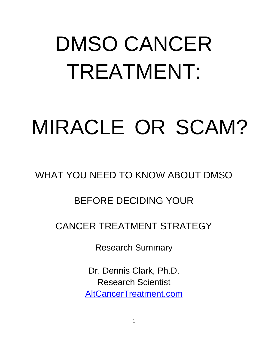# DMSO CANCER TREATMENT:

# MIRACLE OR SCAM?

# WHAT YOU NEED TO KNOW ABOUT DMSO

# BEFORE DECIDING YOUR

## CANCER TREATMENT STRATEGY

Research Summary

Dr. Dennis Clark, Ph.D. Research Scientist [AltCancerTreatment.com](http://altcancertreatment.com/)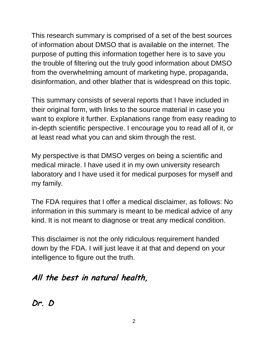This research summary is comprised of a set of the best sources of information about DMSO that is available on the internet. The purpose of putting this information together here is to save you the trouble of filtering out the truly good information about DMSO from the overwhelming amount of marketing hype, propaganda, disinformation, and other blather that is widespread on this topic.

This summary consists of several reports that I have included in their original form, with links to the source material in case you want to explore it further. Explanations range from easy reading to in-depth scientific perspective. I encourage you to read all of it, or at least read what you can and skim through the rest.

My perspective is that DMSO verges on being a scientific and medical miracle. I have used it in my own university research laboratory and I have used it for medical purposes for myself and my family.

The FDA requires that I offer a medical disclaimer, as follows: No information in this summary is meant to be medical advice of any kind. It is not meant to diagnose or treat any medical condition.

This disclaimer is not the only ridiculous requirement handed down by the FDA. I will just leave it at that and depend on your intelligence to figure out the truth.

## **All the best in natural health,**

## **Dr. D**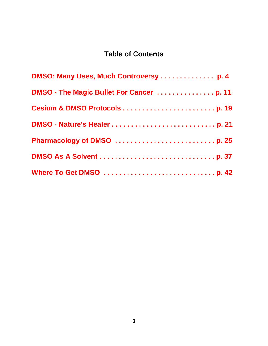## **Table of Contents**

| DMSO: Many Uses, Much Controversy  p. 4 |  |
|-----------------------------------------|--|
|                                         |  |
|                                         |  |
|                                         |  |
|                                         |  |
|                                         |  |
|                                         |  |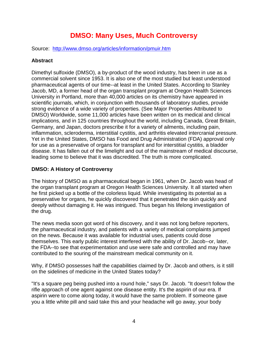## **DMSO: Many Uses, Much Controversy**

Source: <http://www.dmso.org/articles/information/pmuir.htm>

#### **Abstract**

Dimethyl sulfoxide (DMSO), a by-product of the wood industry, has been in use as a commercial solvent since 1953. It is also one of the most studied but least understood pharmaceutical agents of our time--at least in the United States. According to Stanley Jacob, MD, a former head of the organ transplant program at Oregon Health Sciences University in Portland, more than 40,000 articles on its chemistry have appeared in scientific journals, which, in conjunction with thousands of laboratory studies, provide strong evidence of a wide variety of properties. (See Major Properties Attributed to DMSO) Worldwide, some 11,000 articles have been written on its medical and clinical implications, and in 125 countries throughout the world, including Canada, Great Britain, Germany, and Japan, doctors prescribe it for a variety of ailments, including pain, inflammation, scleroderma, interstitial cystitis, and arthritis elevated intercranial pressure. Yet in the United States, DMSO has Food and Drug Administration (FDA) approval only for use as a preservative of organs for transplant and for interstitial cystitis, a bladder disease. It has fallen out of the limelight and out of the mainstream of medical discourse, leading some to believe that it was discredited. The truth is more complicated.

#### **DMSO: A History of Controversy**

The history of DMSO as a pharmaceutical began in 1961, when Dr. Jacob was head of the organ transplant program at Oregon Health Sciences University. It all started when he first picked up a bottle of the colorless liquid. While investigating its potential as a preservative for organs, he quickly discovered that it penetrated the skin quickly and deeply without damaging it. He was intrigued. Thus began his lifelong investigation of the drug.

The news media soon got word of his discovery, and it was not long before reporters, the pharmaceutical industry, and patients with a variety of medical complaints jumped on the news. Because it was available for industrial uses, patients could dose themselves. This early public interest interfered with the ability of Dr. Jacob--or, later, the FDA--to see that experimentation and use were safe and controlled and may have contributed to the souring of the mainstream medical community on it.

Why, if DMSO possesses half the capabilities claimed by Dr. Jacob and others, is it still on the sidelines of medicine in the United States today?

"It's a square peg being pushed into a round hole," says Dr. Jacob. "It doesn't follow the rifle approach of one agent against one disease entity. It's the aspirin of our era. If aspirin were to come along today, it would have the same problem. If someone gave you a little white pill and said take this and your headache will go away, your body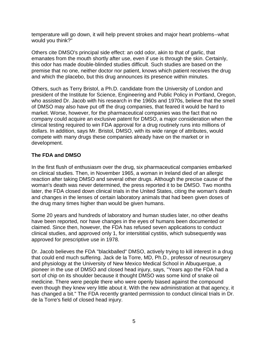temperature will go down, it will help prevent strokes and major heart problems--what would you think?"

Others cite DMSO's principal side effect: an odd odor, akin to that of garlic, that emanates from the mouth shortly after use, even if use is through the skin. Certainly, this odor has made double-blinded studies difficult. Such studies are based on the premise that no one, neither doctor nor patient, knows which patient receives the drug and which the placebo, but this drug announces its presence within minutes.

Others, such as Terry Bristol, a Ph.D. candidate from the University of London and president of the Institute for Science, Engineering and Public Policy in Portland, Oregon, who assisted Dr. Jacob with his research in the 1960s and 1970s, believe that the smell of DMSO may also have put off the drug companies, that feared it would be hard to market. Worse, however, for the pharmaceutical companies was the fact that no company could acquire an exclusive patent for DMSO, a major consideration when the clinical testing required to win FDA approval for a drug routinely runs into millions of dollars. In addition, says Mr. Bristol, DMSO, with its wide range of attributes, would compete with many drugs these companies already have on the market or in development.

#### **The FDA and DMSO**

In the first flush of enthusiasm over the drug, six pharmaceutical companies embarked on clinical studies. Then, in November 1965, a woman in Ireland died of an allergic reaction after taking DMSO and several other drugs. Although the precise cause of the woman's death was never determined, the press reported it to be DMSO. Two months later, the FDA closed down clinical trials in the United States, citing the woman's death and changes in the lenses of certain laboratory animals that had been given doses of the drug many times higher than would be given humans.

Some 20 years and hundreds of laboratory and human studies later, no other deaths have been reported, nor have changes in the eyes of humans been documented or claimed. Since then, however, the FDA has refused seven applications to conduct clinical studies, and approved only 1, for intersititial cystitis, which subsequently was approved for prescriptive use in 1978.

Dr. Jacob believes the FDA "blackballed" DMSO, actively trying to kill interest in a drug that could end much suffering. Jack de la Torre, MD, Ph.D., professor of neurosurgery and physiology at the University of New Mexico Medical School in Albuquerque, a pioneer in the use of DMSO and closed head injury, says, "Years ago the FDA had a sort of chip on its shoulder because it thought DMSO was some kind of snake oil medicine. There were people there who were openly biased against the compound even though they knew very little about it. With the new administration at that agency, it has changed a bit." The FDA recently granted permission to conduct clinical trials in Dr. de la Torre's field of closed head injury.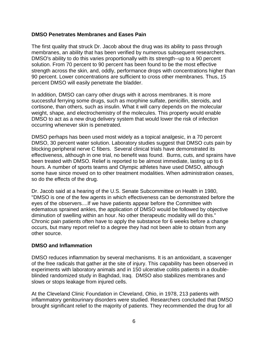#### **DMSO Penetrates Membranes and Eases Pain**

The first quality that struck Dr. Jacob about the drug was its ability to pass through membranes, an ability that has been verified by numerous subsequent researchers. DMSO's ability to do this varies proportionally with its strength--up to a 90 percent solution. From 70 percent to 90 percent has been found to be the most effective strength across the skin, and, oddly, performance drops with concentrations higher than 90 percent. Lower concentrations are sufficient to cross other membranes. Thus, 15 percent DMSO will easily penetrate the bladder.

In addition, DMSO can carry other drugs with it across membranes. It is more successful ferrying some drugs, such as morphine sulfate, penicillin, steroids, and cortisone, than others, such as insulin. What it will carry depends on the molecular weight, shape, and electrochemistry of the molecules. This property would enable DMSO to act as a new drug delivery system that would lower the risk of infection occurring whenever skin is penetrated.

DMSO perhaps has been used most widely as a topical analgesic, in a 70 percent DMSO, 30 percent water solution. Laboratory studies suggest that DMSO cuts pain by blocking peripheral nerve C fibers. Several clinical trials have demonstrated its effectiveness, although in one trial, no benefit was found. Burns, cuts, and sprains have been treated with DMSO. Relief is reported to be almost immediate, lasting up to 6 hours. A number of sports teams and Olympic athletes have used DMSO, although some have since moved on to other treatment modalities. When administration ceases, so do the effects of the drug.

Dr. Jacob said at a hearing of the U.S. Senate Subcommittee on Health in 1980, "DMSO is one of the few agents in which effectiveness can be demonstrated before the eyes of the observers....If we have patients appear before the Committee with edematous sprained ankles, the application of DMSO would be followed by objective diminution of swelling within an hour. No other therapeutic modality will do this." Chronic pain patients often have to apply the substance for 6 weeks before a change occurs, but many report relief to a degree they had not been able to obtain from any other source.

#### **DMSO and Inflammation**

DMSO reduces inflammation by several mechanisms. It is an antioxidant, a scavenger of the free radicals that gather at the site of injury. This capability has been observed in experiments with laboratory animals and in 150 ulcerative colitis patients in a doubleblinded randomized study in Baghdad, Iraq. DMSO also stabilizes membranes and slows or stops leakage from injured cells.

At the Cleveland Clinic Foundation in Cleveland, Ohio, in 1978, 213 patients with inflammatory genitourinary disorders were studied. Researchers concluded that DMSO brought significant relief to the majority of patients. They recommended the drug for all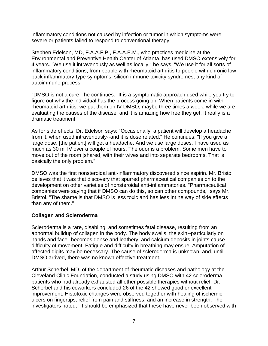inflammatory conditions not caused by infection or tumor in which symptoms were severe or patients failed to respond to conventional therapy.

Stephen Edelson, MD, F.A.A.F.P., F.A.A.E.M., who practices medicine at the Environmental and Preventive Health Center of Atlanta, has used DMSO extensively for 4 years. "We use it intravenously as well as locally," he says. "We use it for all sorts of inflammatory conditions, from people with rheumatoid arthritis to people with chronic low back inflammatory-type symptoms, silicon immune toxicity syndromes, any kind of autoimmune process.

"DMSO is not a cure," he continues. "It is a symptomatic approach used while you try to figure out why the individual has the process going on. When patients come in with rheumatoid arthritis, we put them on IV DMSO, maybe three times a week, while we are evaluating the causes of the disease, and it is amazing how free they get. It really is a dramatic treatment."

As for side effects, Dr. Edelson says: "Occasionally, a patient will develop a headache from it, when used intravenously--and it is dose related." He continues: "If you give a large dose, [the patient] will get a headache. And we use large doses. I have used as much as 30 ml IV over a couple of hours. The odor is a problem. Some men have to move out of the room [shared] with their wives and into separate bedrooms. That is basically the only problem."

DMSO was the first nonsteroidal anti-inflammatory discovered since aspirin. Mr. Bristol believes that it was that discovery that spurred pharmaceutical companies on to the development on other varieties of nonsteroidal anti-inflammatories. "Pharmaceutical companies were saying that if DMSO can do this, so can other compounds," says Mr. Bristol. "The shame is that DMSO is less toxic and has less int he way of side effects than any of them."

#### **Collagen and Scleroderma**

Scleroderma is a rare, disabling, and sometimes fatal disease, resulting from an abnormal buildup of collagen in the body. The body swells, the skin--particularly on hands and face--becomes dense and leathery, and calcium deposits in joints cause difficulty of movement. Fatigue and difficulty in breathing may ensue. Amputation of affected digits may be necessary. The cause of scleroderma is unknown, and, until DMSO arrived, there was no known effective treatment.

Arthur Scherbel, MD, of the department of rheumatic diseases and pathology at the Cleveland Clinic Foundation, conducted a study using DMSO with 42 scleroderma patients who had already exhausted all other possible therapies without relief. Dr. Scherbel and his coworkers concluded 26 of the 42 showed good or excellent improvement. Histotoxic changes were observed together with healing of ischemic ulcers on fingertips, relief from pain and stiffness, and an increase in strength. The investigators noted, "It should be emphasized that these have never been observed with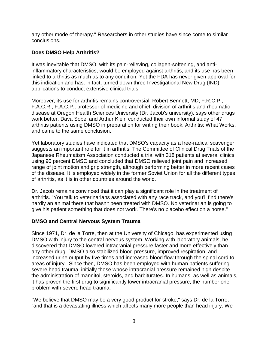any other mode of therapy." Researchers in other studies have since come to similar conclusions.

#### **Does DMSO Help Arthritis?**

It was inevitable that DMSO, with its pain-relieving, collagen-softening, and antiinflammatory characteristics, would be employed against arthritis, and its use has been linked to arthritis as much as to any condition. Yet the FDA has never given approval for this indication and has, in fact, turned down three Investigational New Drug (IND) applications to conduct extensive clinical trials.

Moreover, its use for arthritis remains controversial. Robert Bennett, MD, F.R.C.P., F.A.C.R., F.A.C.P., professor of medicine and chief, division of arthritis and rheumatic disease at Oregon Health Sciences University (Dr. Jacob's university), says other drugs work better. Dava Sobel and Arthur Klein conducted their own informal study of 47 arthritis patients using DMSO in preparation for writing their book, Arthritis: What Works, and came to the same conclusion.

Yet laboratory studies have indicated that DMSO's capacity as a free-radical scavenger suggests an important role for it in arthritis. The Committee of Clinical Drug Trials of the Japanese Rheumatism Association conducted a trial with 318 patients at several clinics using 90 percent DMSO and concluded that DMSO relieved joint pain and increased range of joint motion and grip strength, although performing better in more recent cases of the disease. It is employed widely in the former Soviet Union for all the different types of arthritis, as it is in other countries around the world.

Dr. Jacob remains convinced that it can play a significant role in the treatment of arthritis. "You talk to veterinarians associated with any race track, and you'll find there's hardly an animal there that hasn't been treated with DMSO. No veterinarian is going to give his patient something that does not work. There's no placebo effect on a horse."

#### **DMSO and Central Nervous System Trauma**

Since 1971, Dr. de la Torre, then at the University of Chicago, has experimented using DMSO with injury to the central nervous system. Working with laboratory animals, he discovered that DMSO lowered intracranial pressure faster and more effectively than any other drug. DMSO also stabilized blood pressure, improved respiration, and increased urine output by five times and increased blood flow through the spinal cord to areas of injury. Since then, DMSO has been employed with human patients suffering severe head trauma, initially those whose intracranial pressure remained high despite the administration of mannitol, steroids, and barbiturates. In humans, as well as animals, it has proven the first drug to significantly lower intracranial pressure, the number one problem with severe head trauma.

"We believe that DMSO may be a very good product for stroke," says Dr. de la Torre, "and that is a devastating illness which affects many more people than head injury. We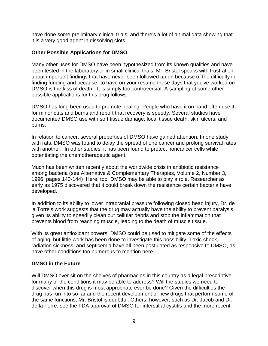have done some preliminary clinical trials, and there's a lot of animal data showing that it is a very good agent in dissolving clots."

#### **Other Possible Applications for DMSO**

Many other uses for DMSO have been hypothesized from its known qualities and have been tested in the laboratory or in small clinical trials. Mr. Bristol speaks with frustration about important findings that have never been followed up on because of the difficulty in finding funding and because "to have on your resume these days that you've worked on DMSO is the kiss of death." It is simply too controversial. A sampling of some other possible applications for this drug follows.

DMSO has long been used to promote healing. People who have it on hand often use it for minor cuts and burns and report that recovery is speedy. Several studies have documented DMSO use with soft tissue damage, local tissue death, skin ulcers, and burns.

In relation to cancer, several properties of DMSO have gained attention. In one study with rats, DMSO was found to delay the spread of one cancer and prolong survival rates with another. In other studies, it has been found to protect noncancer cells while potentiating the chemotherapeutic agent.

Much has been written recently about the worldwide crisis in antibiotic resistance among bacteria (see Alternative & Complementary Therapies, Volume 2, Number 3, 1996, pages 140-144) Here, too, DMSO may be able to play a role. Researcher as early as 1975 discovered that it could break down the resistance certain bacteria have developed.

In addition to its ability to lower intracranial pressure following closed head injury, Dr. de la Torre's work suggests that the drug may actually have the ability to prevent paralysis, given its ability to speedily clean out cellular debris and stop the inflammation that prevents blood from reaching muscle, leading to the death of muscle tissue.

With its great antioxidant powers, DMSO could be used to mitigate some of the effects of aging, but little work has been done to investigate this possibility. Toxic shock, radiation sickness, and septicemia have all been postulated as responsive to DMSO, as have other conditions too numerous to mention here.

#### **DMSO in the Future**

Will DMSO ever sit on the shelves of pharmacies in this country as a legal prescriptive for many of the conditions it may be able to address? Will the studies we need to discover when this drug is most appropriate ever be done? Given the difficulties the drug has run into so far and the recent development of new drugs that perform some of the same functions, Mr. Bristol is doubtful. Others, however, such as Dr. Jacob and Dr. de la Torre, see the FDA approval of DMSO for interstitial cystitis and the more recent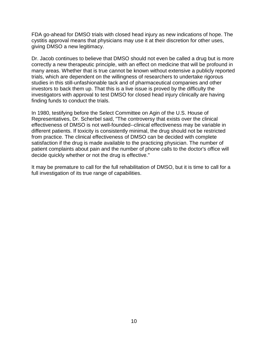FDA go-ahead for DMSO trials with closed head injury as new indications of hope. The cystitis approval means that physicians may use it at their discretion for other uses, giving DMSO a new legitimacy.

Dr. Jacob continues to believe that DMSO should not even be called a drug but is more correctly a new therapeutic principle, with an effect on medicine that will be profound in many areas. Whether that is true cannot be known without extensive a publicly reported trials, which are dependent on the willingness of researchers to undertake rigorous studies in this still-unfashionable tack and of pharmaceutical companies and other investors to back them up. That this is a live issue is proved by the difficulty the investigators with approval to test DMSO for closed head injury clinically are having finding funds to conduct the trials.

In 1980, testifying before the Select Committee on Agin of the U.S. House of Representatives, Dr. Scherbel said, "The controversy that exists over the clinical effectiveness of DMSO is not well-founded--clinical effectiveness may be variable in different patients. If toxicity is consistently minimal, the drug should not be restricted from practice. The clinical effectiveness of DMSO can be decided with complete satisfaction if the drug is made available to the practicing physician. The number of patient complaints about pain and the number of phone calls to the doctor's office will decide quickly whether or not the drug is effective."

It may be premature to call for the full rehabilitation of DMSO, but it is time to call for a full investigation of its true range of capabilities.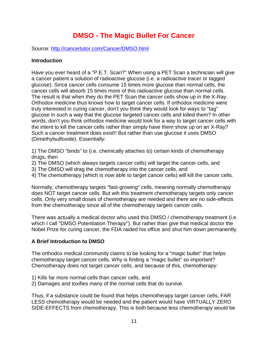## **DMSO - The Magic Bullet For Cancer**

Source:<http://cancertutor.com/Cancer/DMSO.html>

#### **Introduction**

Have you ever heard of a "P.E.T. Scan?" When using a PET Scan a technician will give a cancer patient a solution of radioactive glucose (i.e. a radioactive tracer or tagged glucose). Since cancer cells consume 15 times more glucose than normal cells, the cancer cells will absorb 15 times more of this radioactive glucose than normal cells. The result is that when they do the PET Scan the cancer cells show up in the X-Ray. Orthodox medicine thus knows how to target cancer cells. If orthodox medicine were truly interested in curing cancer, don't you think they would look for ways to "tag" glucose in such a way that the glucose targeted cancer cells and killed them? In other words, don't you think orthodox medicine would look for a way to target cancer cells with the intent to kill the cancer cells rather than simply have them show up on an X-Ray? Such a cancer treatment does exist!! But rather than use glucose it uses DMSO (Dimethylsulfoxide). Essentially:

1) The DMSO "binds" to (i.e. chemically attaches to) certain kinds of chemotherapy drugs, then

- 2) The DMSO (which always targets cancer cells) will target the cancer cells, and
- 3) The DMSO will drag the chemotherapy into the cancer cells, and
- 4) The chemotherapy (which is now able to target cancer cells) will kill the cancer cells.

Normally, chemotherapy targets "fast-growing" cells, meaning normally chemotherapy does NOT target cancer cells. But wih this treatment chemotherapy targets only cancer cells. Only very small doses of chemotherapy are needed and there are no side-effects from the chemotherapy since all of the chemotherapy targets cancer cells.

There was actually a medical doctor who used this DMSO / chemotherapy treatment (i.e. which I call "DMSO Potentiation Therapy"). But rather than give that medical doctor the Nobel Prize for curing cancer, the FDA raided his office and shut him down permanently.

#### **A Brief Introduction to DMSO**

The orthodox medical community claims to be looking for a "magic bullet" that helps chemotherapy target cancer cells. Why is finding a "magic bullet" so important? Chemotherapy does not target cancer cells, and because of this, chemotherapy:

- 1) Kills far more normal cells than cancer cells, and
- 2) Damages and toxifies many of the normal cells that do survive.

Thus, if a substance could be found that helps chemotherapy target cancer cells, FAR LESS chemotherapy would be needed and the patient would have VIRTUALLY ZERO SIDE-EFFECTS from chemotherapy. This is both because less chemotherapy would be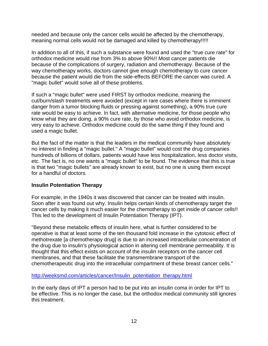needed and because only the cancer cells would be affected by the chemotherapy, meaning normal cells would not be damaged and killed by chemotherapy!!!!!

In addition to all of this, if such a substance were found and used the "true cure rate" for orthodox medicine would rise from 3% to above 90%!! Most cancer patients die because of the complications of surgery, radiation and chemotherapy. Because of the way chemotherapy works, doctors cannot give enough chemotherapy to cure cancer because the patient would die from the side-effects BEFORE the cancer was cured. A "magic bullet" would solve all of these problems.

If such a "magic bullet" were used FIRST by orthodox medicine, meaning the cut/burn/slash treatments were avoided (except in rare cases where there is imminent danger from a tumor blocking fluids or pressing against something), a 90% true cure rate would be easy to achieve. In fact, with alternative medicine, for those people who know what they are doing, a 90% cure rate, by those who avoid orthodox medicine, is very easy to achieve. Orthodox medicine could do the same thing if they found and used a magic bullet.

But the fact of the matter is that the leaders in the medical community have absolutely no interest in finding a "magic bullet." A "magic bullet" would cost the drug companies hundreds of billions of dollars, patients would have less hospitalization, less doctor visits, etc. The fact is, no one wants a "magic bullet" to be found. The evidence that this is true is that two "magic bullets" are already known to exist, but no one is using them except for a handful of doctors.

#### **Insulin Potentiation Therapy**

For example, in the 1940s it was discovered that cancer can be treated with insulin. Soon after it was found out why. Insulin helps certain kinds of chemotherapy target the cancer cells by making it much easier for the chemotherapy to get inside of cancer cells!! This led to the development of Insulin Potentiation Therapy (IPT).

"Beyond these metabolic effects of insulin here, what is further considered to be operative is that at least some of the ten thousand fold increase in the cytotoxic effect of methotrexate [a chemotherapy drug] is due to an increased intracellular concentration of the drug due to insulin's physiological action in altering cell membrane permeability. It is thought that this effect exists on account of the insulin receptors on the cancer cell membranes, and that these facilitate the transmembrane transport of the chemotherapeutic drug into the intracellular compartment of these breast cancer cells."

[http://weeksmd.com/articles/cancer/Insulin\\_potentiation\\_therapy.html](http://weeksmd.com/articles/cancer/Insulin_potentiation_therapy.html)

In the early days of IPT a person had to be put into an insulin coma in order for IPT to be effective. This is no longer the case, but the orthodox medical community still ignores this treatment.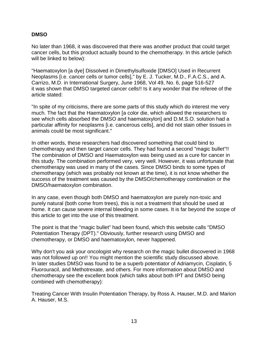#### **DMSO**

No later than 1968, it was discovered that there was another product that could target cancer cells, but this product actually bound to the chemotherapy. In this article (which will be linked to below):

"Haematoxylon [a dye] Dissolved in Dimethylsulfoxide [DMSO] Used in Recurrent Neoplasms [i.e. cancer cells or tumor cells]," by E. J. Tucker, M.D., F.A.C.S., and A. Carrizo, M.D. in International Surgery, June 1968, Vol 49, No. 6, page 516-527 it was shown that DMSO targeted cancer cells!! Is it any wonder that the referee of the article stated:

"In spite of my criticisms, there are some parts of this study which do interest me very much. The fact that the Haematoxylon [a color die, which allowed the researchers to see which cells absorbed the DMSO and haematoxylon] and D.M.S.O. solution had a particular affinity for neoplasms [i.e. cancerous cells], and did not stain other tissues in animals could be most significant."

In other words, these researchers had discovered something that could bind to chemotherapy and then target cancer cells. They had found a second "magic bullet"!! The combination of DMSO and Haematoxylon was being used as a cure for cancer in this study. The combination performed very, very well. However, it was unfortunate that chemotherapy was used in many of the cases. Since DMSO binds to some types of chemotherapy (which was probably not known at the time), it is not know whether the success of the treatment was caused by the DMSO/chemotherapy combination or the DMSO/haematoxylon combination.

In any case, even though both DMSO and haematoxylon are purely non-toxic and purely natural (both come from trees), this is not a treatment that should be used at home. It can cause severe internal bleeding in some cases. It is far beyond the scope of this article to get into the use of this treatment.

The point is that the "magic bullet" had been found, which this website calls "DMSO Potentiation Therapy (DPT)." Obviously, further research using DMSO and chemotherapy, or DMSO and haematoxylon, never happened.

Why don't you ask your oncologist why research on the magic bullet discovered in 1968 was not followed up on!! You might mention the scientific study discussed above. In later studies DMSO was found to be a superb potentiator of Adriamycin, Cisplatin, 5 Fluorouracil, and Methotrexate, and others. For more information about DMSO and chemotherapy see the excellent book (which talks about both IPT and DMSO being combined with chemotherapy):

Treating Cancer With Insulin Potentiation Therapy, by Ross A. Hauser, M.D. and Marion A. Hauser, M.S.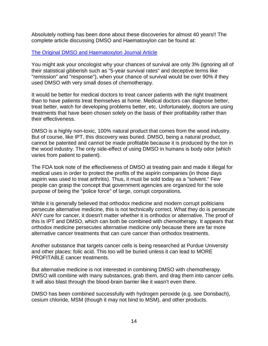Absolutely nothing has been done about these discoveries for almost 40 years!! The complete article discussing DMSO and Haematoxylon can be found at:

#### [The Original DMSO and Haematoxylon Journal Article](http://cancertutor.com/Dmso/DmsoArticle.html)

You might ask your oncologist why your chances of survival are only 3% (ignoring all of their statistical gibberish such as "5-year survival rates" and deceptive terms like "remission" and "response"), when your chance of survival would be over 90% if they used DMSO with very small doses of chemotherapy.

It would be better for medical doctors to treat cancer patients with the right treatment than to have patients treat themselves at home. Medical doctors can diagnose better, treat better, watch for developing problems better, etc. Unfortunately, doctors are using treatments that have been chosen solely on the basis of their profitability rather than their effectiveness.

DMSO is a highly non-toxic, 100% natural product that comes from the wood industry. But of course, like IPT, this discovery was buried. DMSO, being a natural product, cannot be patented and cannot be made profitable because it is produced by the ton in the wood industry. The only side-effect of using DMSO in humans is body odor (which varies from patient to patient).

The FDA took note of the effectiveness of DMSO at treating pain and made it illegal for medical uses in order to protect the profits of the aspirin companies (in those days aspirin was used to treat arthritis). Thus, it must be sold today as a "solvent." Few people can grasp the concept that government agencies are organized for the sole purpose of being the "police force" of large, corrupt corporations.

While it is generally believed that orthodox medicine and modern corrupt politicians persecute alternative medicine, this is not technically correct. What they do is persecute ANY cure for cancer, it doesn't matter whether it is orthodox or alternative. The proof of this is IPT and DMSO, which can both be combined with chemotherapy. It appears that orthodox medicine persecutes alternative medicine only because there are far more alternative cancer treatments that can cure cancer than orthodox treatments.

Another substance that targets cancer cells is being researched at Purdue University and other places: folic acid. This too will be buried unless it can lead to MORE PROFITABLE cancer treatments.

But alternative medicine is not interested in combining DMSO with chemotherapy. DMSO will combine with many substances, grab them, and drag them into cancer cells. It will also blast through the blood-brain barrier like it wasn't even there.

DMSO has been combined successfully with hydrogen peroxide (e.g. see Donsbach), cesium chloride, MSM (though it may not bind to MSM), and other products.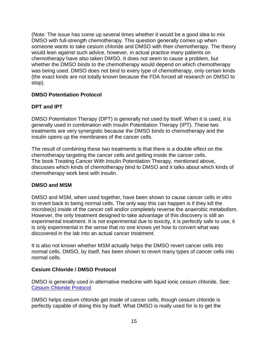(Note: The issue has come up several times whether it would be a good idea to mix DMSO with full-strength chemotherapy. This question generally comes up when someone wants to take cesium chloride and DMSO with their chemotherapy. The theory would lean against such advice, however, in actual practice many patients on chemotherapy have also taken DMSO. It does not seem to cause a problem, but whether the DMSO binds to the chemotherapy would depend on which chemotherapy was being used. DMSO does not bind to every type of chemotherapy, only certain kinds (the exact kinds are not totally known because the FDA forced all research on DMSO to stop).

#### **DMSO Potentiation Protocol**

#### **DPT and IPT**

DMSO Potentiation Therapy (DPT) is generally not used by itself. When it is used, it is generally used in combination with Insulin Potentiation Therapy (IPT). These two treatments are very synergistic because the DMSO binds to chemotherapy and the insulin opens up the membranes of the cancer cells.

The result of combining these two treatments is that there is a double effect on the chemotherapy targeting the cancer cells and getting inside the cancer cells. The book Treating Cancer With Insulin Potentiation Therapy, mentioned above, discusses which kinds of chemotherapy bind to DMSO and it talks about which kinds of chemotherapy work best with insulin.

#### **DMSO and MSM**

DMSO and MSM, when used together, have been shown to cause cancer cells in vitro to revert back to being normal cells. The only way this can happen is if they kill the microbe(s) inside of the cancer cell and/or completely reverse the anaerobic metabolism. However, the only treatment designed to take advantage of this discovery is still an experimental treatment. It is not experimental due to toxicity, it is perfectly safe to use, it is only experimental in the sense that no one knows yet how to convert what was discovered in the lab into an actual cancer treatment.

It is also not known whether MSM actually helps the DMSO revert cancer cells into normal cells. DMSO, by itself, has been shown to revert many types of cancer cells into normal cells.

#### **Cesium Chloride / DMSO Protocol**

DMSO is generally used in alternative medicine with liquid ionic cesium chloride. See: [Cesium Chloride Protocol](http://cancertutor.com/Cancer/Alkaline.html)

DMSO helps cesium chloride get inside of cancer cells, though cesium chloride is perfectly capable of doing this by itself. What DMSO is really used for is to get the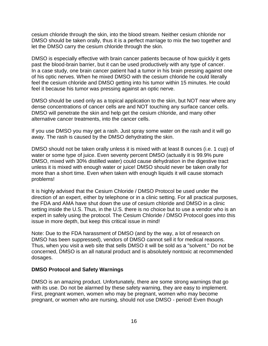cesium chloride through the skin, into the blood stream. Neither cesium chloride nor DMSO should be taken orally, thus it is a perfect marriage to mix the two together and let the DMSO carry the cesium chloride through the skin.

DMSO is especially effective with brain cancer patients because of how quickly it gets past the blood-brain barrier, but it can be used productively with any type of cancer. In a case study, one brain cancer patient had a tumor in his brain pressing against one of his optic nerves. When he mixed DMSO with the cesium chloride he could literally feel the cesium chloride and DMSO getting into his tumor within 15 minutes. He could feel it because his tumor was pressing against an optic nerve.

DMSO should be used only as a topical application to the skin, but NOT near where any dense concentrations of cancer cells are and NOT touching any surface cancer cells. DMSO will penetrate the skin and help get the cesium chloride, and many other alternative cancer treatments, into the cancer cells.

If you use DMSO you may get a rash. Just spray some water on the rash and it will go away. The rash is caused by the DMSO dehydrating the skin.

DMSO should not be taken orally unless it is mixed with at least 8 ounces (i.e. 1 cup) of water or some type of juice. Even seventy percent DMSO (actually it is 99.9% pure DMSO, mixed with 30% distilled water) could cause dehydration in the digestive tract unless it is mixed with enough water or juice! DMSO should never be taken orally for more than a short time. Even when taken with enough liquids it will cause stomach problems!

It is highly advised that the Cesium Chloride / DMSO Protocol be used under the direction of an expert, either by telephone or in a clinic setting. For all practical purposes, the FDA and AMA have shut down the use of cesium chloride and DMSO in a clinic setting inside the U.S. Thus, in the U.S. there is no choice but to use a vendor who is an expert in safely using the protocol. The Cesium Chloride / DMSO Protocol goes into this issue in more depth, but keep this critical issue in mind!

Note: Due to the FDA harassment of DMSO (and by the way, a lot of research on DMSO has been suppressed), vendors of DMSO cannot sell it for medical reasons. Thus, when you visit a web site that sells DMSO it will be sold as a "solvent." Do not be concerned, DMSO is an all natural product and is absolutely nontoxic at recommended dosages.

#### **DMSO Protocol and Safety Warnings**

DMSO is an amazing product. Unfortunately, there are some strong warnings that go with its use. Do not be alarmed by these safety warning, they are easy to implement. First, pregnant women, women who may be pregnant, women who may become pregnant, or women who are nursing, should not use DMSO - period! Even though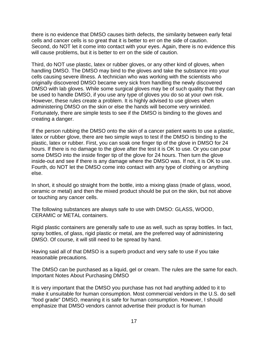there is no evidence that DMSO causes birth defects, the similarity between early fetal cells and cancer cells is so great that it is better to err on the side of caution. Second, do NOT let it come into contact with your eyes. Again, there is no evidence this will cause problems, but it is better to err on the side of caution.

Third, do NOT use plastic, latex or rubber gloves, or any other kind of gloves, when handling DMSO. The DMSO may bind to the gloves and take the substance into your cells causing severe illness. A technician who was working with the scientists who originally discovered DMSO became very sick from handling the newly discovered DMSO with lab gloves. While some surgical gloves may be of such quality that they can be used to handle DMSO, if you use any type of gloves you do so at your own risk. However, these rules create a problem. It is highly advised to use gloves when administering DMSO on the skin or else the hands will become very wrinkled. Fortunately, there are simple tests to see if the DMSO is binding to the gloves and creating a danger.

If the person rubbing the DMSO onto the skin of a cancer patient wants to use a plastic, latex or rubber glove, there are two simple ways to test if the DMSO is binding to the plastic, latex or rubber. First, you can soak one finger tip of the glove in DMSO for 24 hours. If there is no damage to the glove after the test it is OK to use. Or you can pour some DMSO into the inside finger tip of the glove for 24 hours. Then turn the glove inside-out and see if there is any damage where the DMSO was. If not, it is OK to use. Fourth, do NOT let the DMSO come into contact with any type of clothing or anything else.

In short, it should go straight from the bottle, into a mixing glass (made of glass, wood, ceramic or metal) and then the mixed product should be put on the skin, but not above or touching any cancer cells.

The following substances are always safe to use with DMSO: GLASS, WOOD, CERAMIC or METAL containers.

Rigid plastic containers are generally safe to use as well, such as spray bottles. In fact, spray bottles, of glass, rigid plastic or metal, are the preferred way of administering DMSO. Of course, it will still need to be spread by hand.

Having said all of that DMSO is a superb product and very safe to use if you take reasonable precautions.

The DMSO can be purchased as a liquid, gel or cream. The rules are the same for each. Important Notes About Purchasing DMSO

It is very important that the DMSO you purchase has not had anything added to it to make it unsuitable for human consumption. Most commercial vendors in the U.S. do sell "food grade" DMSO, meaning it is safe for human consumption. However, I should emphasize that DMSO vendors cannot advertise their product is for human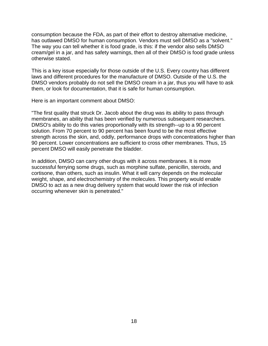consumption because the FDA, as part of their effort to destroy alternative medicine, has outlawed DMSO for human consumption. Vendors must sell DMSO as a "solvent." The way you can tell whether it is food grade, is this: if the vendor also sells DMSO cream/gel in a jar, and has safety warnings, then all of their DMSO is food grade unless otherwise stated.

This is a key issue especially for those outside of the U.S. Every country has different laws and different procedures for the manufacture of DMSO. Outside of the U.S. the DMSO vendors probably do not sell the DMSO cream in a jar, thus you will have to ask them, or look for documentation, that it is safe for human consumption.

Here is an important comment about DMSO:

"The first quality that struck Dr. Jacob about the drug was its ability to pass through membranes, an ability that has been verified by numerous subsequent researchers. DMSO's ability to do this varies proportionally with its strength--up to a 90 percent solution. From 70 percent to 90 percent has been found to be the most effective strength across the skin, and, oddly, performance drops with concentrations higher than 90 percent. Lower concentrations are sufficient to cross other membranes. Thus, 15 percent DMSO will easily penetrate the bladder.

In addition, DMSO can carry other drugs with it across membranes. It is more successful ferrying some drugs, such as morphine sulfate, penicillin, steroids, and cortisone, than others, such as insulin. What it will carry depends on the molecular weight, shape, and electrochemistry of the molecules. This property would enable DMSO to act as a new drug delivery system that would lower the risk of infection occurring whenever skin is penetrated."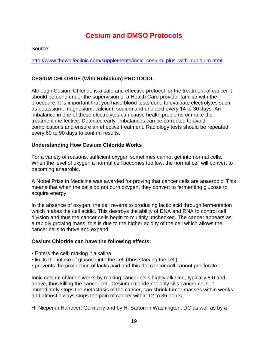## **Cesium and DMSO Protocols**

Source:

[http://www.thewolfeclinic.com/supplements/ionic\\_cesium\\_plus\\_with\\_rubidium.html](http://www.thewolfeclinic.com/supplements/ionic_cesium_plus_with_rubidium.html)

#### **CESIUM CHLORIDE (With Rubidium) PROTOCOL**

Although Cesium Chloride is a safe and effective protocol for the treatment of cancer it should be done under the supervision of a Health Care provider familiar with the procedure. It is important that you have blood tests done to evaluate electrolytes such as potassium, magnesium, calcium, sodium and uric acid every 14 to 30 days. An imbalance in one of these electrolytes can cause health problems or make the treatment ineffective. Detected early, imbalances can be corrected to avoid complications and ensure an effective treatment. Radiology tests should be repeated every 60 to 90 days to confirm results.

#### **Understanding How Cesium Chloride Works**

For a variety of reasons, sufficient oxygen sometimes cannot get into normal cells. When the level of oxygen a normal cell becomes too low, the normal cell will convert to becoming anaerobic.

A Nobel Prize in Medicine was awarded for proving that cancer cells are anaerobic. This means that when the cells do not burn oxygen, they convert to fermenting glucose to acquire energy.

In the absence of oxygen, the cell reverts to producing lactic acid through fermentation which makes the cell acidic. This destroys the ability of DNA and RNA to control cell division and thus the cancer cells begin to multiply unchecked. The cancer appears as a rapidly growing mass; this is due to the higher acidity of the cell which allows the cancer cells to thrive and expand.

#### **Cesium Chloride can have the following effects:**

- Enters the cell; making it alkaline
- limits the intake of glucose into the cell (thus starving the cell),
- prevents the production of lactic acid and this the cancer cell cannot proliferate

Ionic cesium chloride works by making cancer cells highly alkaline, typically 8.0 and above, thus killing the cancer cell. Cesium chloride not only kills cancer cells, it immediately stops the metastasis of the cancer, can shrink tumor masses within weeks, and almost always stops the pain of cancer within 12 to 36 hours.

H. Nieper in Hanover, Germany and by H. Sartori in Washington, DC as well as by a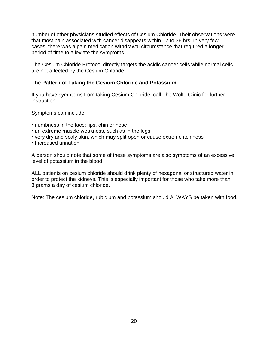number of other physicians studied effects of Cesium Chloride. Their observations were that most pain associated with cancer disappears within 12 to 36 hrs. In very few cases, there was a pain medication withdrawal circumstance that required a longer period of time to alleviate the symptoms.

The Cesium Chloride Protocol directly targets the acidic cancer cells while normal cells are not affected by the Cesium Chloride.

#### **The Pattern of Taking the Cesium Chloride and Potassium**

If you have symptoms from taking Cesium Chloride, call The Wolfe Clinic for further instruction.

Symptoms can include:

- numbness in the face: lips, chin or nose
- an extreme muscle weakness, such as in the legs
- very dry and scaly skin, which may split open or cause extreme itchiness
- Increased urination

A person should note that some of these symptoms are also symptoms of an excessive level of potassium in the blood.

ALL patients on cesium chloride should drink plenty of hexagonal or structured water in order to protect the kidneys. This is especially important for those who take more than 3 grams a day of cesium chloride.

Note: The cesium chloride, rubidium and potassium should ALWAYS be taken with food.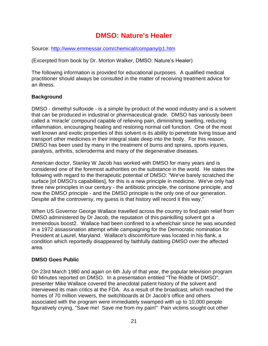### **DMSO: Nature's Healer**

Source:<http://www.emmessar.com/chemical/company/p1.htm>

(Excerpted from book by Dr. Morton Walker, DMSO: Nature's Healer)

The following information is provided for educational purposes. A qualified medical practitioner should always be consulted in the matter of receiving treatment advice for an illness.

#### **Background**

DMSO - dimethyl sulfoxide - is a simple by-product of the wood industry and is a solvent that can be produced in industrial or pharmaceutical grade. DMSO has variously been called a 'miracle' compound capable of relieving pain, diminishing swelling, reducing inflammation, encouraging healing and restoring normal cell function. One of the most well known and exotic properties of this solvent is its ability to penetrate living tissue and transport other medicines in their integral state deep into the body. For this reason, DMSO has been used by many in the treatment of burns and sprains, sports injuries, paralysis, arthritis, scleroderma and many of the degenerative diseases.

American doctor, Stanley W Jacob has worked with DMSO for many years and is considered one of the foremost authorities on the substance in the world. He states the following with regard to the therapeutic potential of DMSO: "We've barely scratched the surface [of DMSO's capabilities], for this is a new principle in medicine. We've only had three new principles in our century - the antibiotic principle, the cortisone principle, and now the DMSO principle - and the DMSO principle is the only one of our generation. Despite all the controversy, my guess is that history will record it this way."

When US Governor George Wallace travelled across the country to find pain relief from DMSO administered by Dr Jacob, the reputation of this painkilling solvent got a tremendous boost2. Wallace had been confined to a wheelchair since he was wounded in a 1972 assassination attempt while campaigning for the Democratic nomination for President at Laurel, Maryland. Wallace's discomforture was located in his flank, a condition which reportedly disappeared by faithfully dabbing DMSO over the affected area.

#### **DMSO Goes Public**

On 23rd March 1980 and again on 6th July of that year, the popular television program 60 Minutes reported on DMSO. In a presentation entitled "The Riddle of DMSO", presenter Mike Wallace covered the anecdotal patient history of the solvent and interviewed its main critics at the FDA. As a result of the broadcast, which reached the homes of 70 million viewers, the switchboards at Dr Jacob's office and others associated with the program were immediately swamped with up to 10,000 people figuratively crying, "Save me! Save me from my pain!" Pain victims sought out other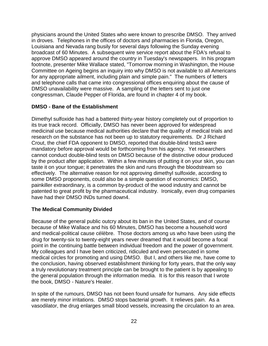physicians around the United States who were known to prescribe DMSO. They arrived in droves. Telephones in the offices of doctors and pharmacies in Florida, Oregon, Louisiana and Nevada rang busily for several days following the Sunday evening broadcast of 60 Minutes. A subsequent wire service report about the FDA's refusal to approve DMSO appeared around the country in Tuesday's newspapers. In his program footnote, presenter Mike Wallace stated, "Tomorrow morning in Washington, the House Committee on Ageing begins an inquiry into why DMSO is not available to all Americans for any appropriate ailment, including plain and simple pain." The numbers of letters and telephone calls that came into congressional offices enquiring about the cause of DMSO unavailability were massive. A sampling of the letters sent to just one congressman, Claude Pepper of Florida, are found in chapter 4 of my book.

#### **DMSO - Bane of the Establishment**

Dimethyl sulfoxide has had a battered thirty-year history completely out of proportion to its true track record. Officially, DMSO has never been approved for widespread medicinal use because medical authorities declare that the quality of medical trials and research on the substance has not been up to statutory requirements. Dr J Richard Crout, the chief FDA opponent to DMSO, reported that double-blind tests3 were mandatory before approval would be forthcoming from his agency. Yet researchers cannot conduct double-blind tests on DMSO because of the distinctive odour produced by the product after application. Within a few minutes of putting it on your skin, you can taste it on your tongue; it penetrates the skin and runs through the bloodstream so effectively. The alternative reason for not approving dimethyl sulfoxide, according to some DMSO proponents, could also be a simple question of economics: DMSO, painkiller extraordinary, is a common by-product of the wood industry and cannot be patented to great profit by the pharmaceutical industry. Ironically, even drug companies have had their DMSO INDs turned down4.

#### **The Medical Community Divided**

Because of the general public outcry about its ban in the United States, and of course because of Mike Wallace and his 60 Minutes, DMSO has become a household word and medical-political cause célèbre. Those doctors among us who have been using the drug for twenty-six to twenty-eight years never dreamed that it would become a focal point in the continuing battle between individual freedom and the power of government. My colleagues and I have been criticized, ridiculed and even persecuted in some medical circles for promoting and using DMSO. But I, and others like me, have come to the conclusion, having observed establishment thinking for forty years, that the only way a truly revolutionary treatment principle can be brought to the patient is by appealing to the general population through the information media. It is for this reason that I wrote the book, DMSO - Nature's Healer.

In spite of the rumours, DMSO has not been found unsafe for humans. Any side effects are merely minor irritations. DMSO stops bacterial growth. It relieves pain. As a vasodilator, the drug enlarges small blood vessels, increasing the circulation to an area.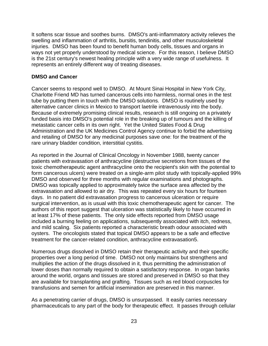It softens scar tissue and soothes burns. DMSO's anti-inflammatory activity relieves the swelling and inflammation of arthritis, bursitis, tendinitis, and other musculoskeletal injuries. DMSO has been found to benefit human body cells, tissues and organs in ways not yet properly understood by medical science. For this reason, I believe DMSO is the 21st century's newest healing principle with a very wide range of usefulness. It represents an entirely different way of treating diseases.

#### **DMSO and Cancer**

Cancer seems to respond well to DMSO. At Mount Sinai Hospital in New York City, Charlotte Friend MD has turned cancerous cells into harmless, normal ones in the test tube by putting them in touch with the DMSO solutions. DMSO is routinely used by alternative cancer clinics in Mexico to transport laetrile intravenously into the body. Because of extremely promising clinical results, research is still ongoing on a privately funded basis into DMSO's potential role in the breaking up of tumours and the killing of metastatic cancer cells in its own right. Yet the United States Food & Drug Administration and the UK Medicines Control Agency continue to forbid the advertising and retailing of DMSO for any medicinal purposes save one: for the treatment of the rare urinary bladder condition, interstitial cystitis.

As reported in the Journal of Clinical Oncology in November 1988, twenty cancer patients with extravasation of anthracycline (destructive secretions from tissues of the toxic chemotherapeutic agent anthracycline onto the recipient's skin with the potential to form cancerous ulcers) were treated on a single-arm pilot study with topically-applied 99% DMSO and observed for three months with regular examinations and photographs. DMSO was topically applied to approximately twice the surface area affected by the extravasation and allowed to air dry. This was repeated every six hours for fourteen days. In no patient did extravasation progress to cancerous ulceration or require surgical intervention, as is usual with this toxic chemotherapeutic agent for cancer. The authors of this report suggest that ulceration was statistically likely to have occurred in at least 17% of these patients. The only side effects reported from DMSO usage included a burning feeling on applications, subsequently associated with itch, redness, and mild scaling. Six patients reported a characteristic breath odour associated with oysters. The oncologists stated that topical DMSO appears to be a safe and effective treatment for the cancer-related condition, anthracycline extravasation5.

Numerous drugs dissolved in DMSO retain their therapeutic activity and their specific properties over a long period of time. DMSO not only maintains but strengthens and multiplies the action of the drugs dissolved in it, thus permitting the administration of lower doses than normally required to obtain a satisfactory response. In organ banks around the world, organs and tissues are stored and preserved in DMSO so that they are available for transplanting and grafting. Tissues such as red blood corpuscles for transfusions and semen for artificial insemination are preserved in this manner.

As a penetrating carrier of drugs, DMSO is unsurpassed. It easily carries necessary pharmaceuticals to any part of the body for therapeutic effect. It passes through cellular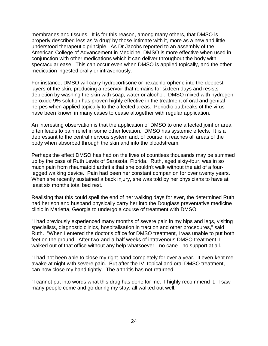membranes and tissues. It is for this reason, among many others, that DMSO is properly described less as 'a drug' by those intimate with it, more as a new and little understood therapeutic principle. As Dr Jacobs reported to an assembly of the American College of Advancement in Medicine, DMSO is more effective when used in conjunction with other medications which it can deliver throughout the body with spectacular ease. This can occur even when DMSO is applied topically, and the other medication ingested orally or intravenously.

For instance, DMSO will carry hydrocortisone or hexachlorophene into the deepest layers of the skin, producing a reservoir that remains for sixteen days and resists depletion by washing the skin with soap, water or alcohol. DMSO mixed with hydrogen peroxide 9% solution has proven highly effective in the treatment of oral and genital herpes when applied topically to the affected areas. Periodic outbreaks of the virus have been known in many cases to cease altogether with regular application.

An interesting observation is that the application of DMSO to one affected joint or area often leads to pain relief in some other location. DMSO has systemic effects. It is a depressant to the central nervous system and, of course, it reaches all areas of the body when absorbed through the skin and into the bloodstream.

Perhaps the effect DMSO has had on the lives of countless thousands may be summed up by the case of Ruth Lewis of Sarasota, Florida. Ruth, aged sixty-four, was in so much pain from rheumatoid arthritis that she couldn't walk without the aid of a fourlegged walking device. Pain had been her constant companion for over twenty years. When she recently sustained a back injury, she was told by her physicians to have at least six months total bed rest.

Realising that this could spell the end of her walking days for ever, the determined Ruth had her son and husband physically carry her into the Douglass preventative medicine clinic in Marietta, Georgia to undergo a course of treatment with DMSO.

"I had previously experienced many months of severe pain in my hips and legs, visiting specialists, diagnostic clinics, hospitalisation in traction and other procedures," said Ruth. "When I entered the doctor's office for DMSO treatment, I was unable to put both feet on the ground. After two-and-a-half weeks of intravenous DMSO treatment, I walked out of that office without any help whatsoever - no cane - no support at all.

"I had not been able to close my right hand completely for over a year. It even kept me awake at night with severe pain. But after the IV, topical and oral DMSO treatment, I can now close my hand tightly. The arthritis has not returned.

"I cannot put into words what this drug has done for me. I highly recommend it. I saw many people come and go during my stay; all walked out well."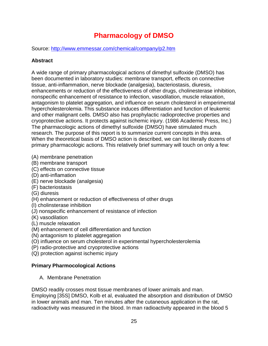## **Pharmacology of DMSO**

Source:<http://www.emmessar.com/chemical/company/p2.htm>

#### **Abstract**

A wide range of primary pharmacological actions of dimethyl sulfoxide (DMSO) has been documented in laboratory studies: membrane transport, effects on connective tissue, anti-inflammation, nerve blockade (analgesia), bacteriostasis, diuresis, enhancements or reduction of the effectiveness of other drugs, cholinesterase inhibition, nonspecific enhancement of resistance to infection, vasodilation, muscle relaxation, antagonism to platelet aggregation, and influence on serum cholesterol in emperimental hypercholesterolemia. This substance induces differentiation and function of leukemic and other malignant cells. DMSO also has prophylactic radioprotective properties and cryoprotective actions. It protects against ischemic injury. (1986 Academic Press, Inc.) The pharmacologic actions of dimethyl sulfoxide (DMSO) have stimulated much research. The purpose of this report is to summarize current concepts in this area. When the theoretical basis of DMSO action is described, we can list literally dozens of primary pharmacologic actions. This relatively brief summary will touch on only a few:

- (A) membrane penetration
- (B) membrane transport
- (C) effects on connective tissue
- (D) anti-inflamation
- (E) nerve blockade (analgesia)
- (F) bacteriostasis
- (G) diuresis
- (H) enhancement or reduction of effectiveness of other drugs
- (I) cholinsterase inhibition
- (J) nonspecific enhancement of resistance of infection
- (K) vasodilation
- (L) muscle relaxation
- (M) enhancement of cell differentiation and function
- (N) antagonism to platelet aggregation
- (O) influence on serum cholesterol in experimental hypercholesterolemia
- (P) radio-protective and cryoprotective actions
- (Q) protection against ischemic injury

#### **Primary Pharmocological Actions**

A. Membrane Penetration

DMSO readily crosses most tissue membranes of lower animals and man. Employing [35S] DMSO, Kolb et al, evaluated the absorption and distribution of DMSO in lower animals and man. Ten minutes after the cutaneous application in the rat, radioactivity was measured in the blood. In man radioactivity appeared in the blood 5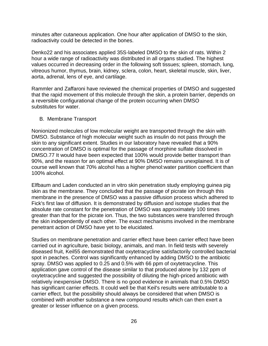minutes after cutaneous application. One hour after application of DMSO to the skin, radioactivity could be detected in the bones.

Denko22 and his associates applied 35S-labeled DMSO to the skin of rats. Within 2 hour a wide range of radioactivity was distributed in all organs studied. The highest values occurred in decreasing order in the following soft tissues; spleen, stomach, lung, vitreous humor, thymus, brain, kidney, sclera, colon, heart, skeletal muscle, skin, liver, aorta, adrenal, lens of eye, and cartilage.

Rammler and Zaffaroni have reviewed the chemical properties of DMSO and suggested that the rapid movement of this molecule through the skin, a protein barrier, depends on a reversible configurational change of the protein occurring when DMSO substitutes for water.

#### B. Membrane Transport

Nonionized molecules of low molecular weight are transported through the skin with DMSO. Substance of high molecular weight such as insulin do not pass through the skin to any significant extent. Studies in our laboratory have revealed that a 90% concentration of DMSO is optimal for the passage of morphine sulfate dissolved in DMSO.77 It would have been expected that 100% would provide better transport than 90%, and the reason for an optimal effect at 90% DMSO remains unexplained. It is of course well known that 70% alcohol has a higher phenol:water partition coefficient than 100% alcohol.

Elfbaum and Laden conducted an in vitro skin penetration study employing guinea pig skin as the membrane. They concluded that the passage of picrate ion through this membrane in the presence of DMSO was a passive diffusion process which adhered to Fick's first law of diffusion. It is demonstrated by diffusion and isotope studies that the absolute rate constant for the penetration of DMSO was approximately 100 times greater than that for the picrate ion. Thus, the two substances were transferred through the skin independently of each other. The exact mechanisms involved in the membrane penetrant action of DMSO have yet to be elucidated.

Studies on membrane penetration and carrier effect have been carrier effect have been carried out in agriculture, basic biology, animals, and man. In field tests with severely diseased fruit, Keil55 demonstrated that oxytetracycline satisfactorily controlled bacterial spot in peaches. Control was significantly enhanced by adding DMSO to the antibiotic spray. DMSO was applied to 0.25 and 0.5% with 66 ppm of oxytetracycline. This application gave control of the disease similar to that produced alone by 132 ppm of oxytetracycline and suggested the possibility of diluting the high-priced antibiotic with relatively inexpensive DMSO. There is no good evidence in animals that 0.5% DMSO has significant carrier effects. It could well be that Keil's results were attributable to a carrier effect, but the possibility should always be considered that when DMSO is combined with another substance a new compound results which can then exert a greater or lesser influence on a given process.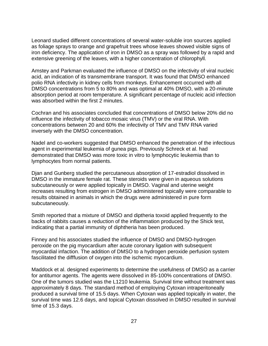Leonard studied different concentrations of several water-soluble iron sources applied as foliage sprays to orange and grapefruit trees whose leaves showed visible signs of iron deficiency. The application of iron in DMSO as a spray was followed by a rapid and extensive greening of the leaves, with a higher concentration of chlorophyll.

Amstey and Parkman evaluated the influence of DMSO on the infectivity of viral nucleic acid, an indication of its transmembrane transport. It was found that DMSO enhanced polio RNA infectivity in kidney cells from monkeys. Enhancement occurred with all DMSO concentrations from 5 to 80% and was optimal at 40% DMSO, with a 20-minute absorption period at room temperature. A significant percentage of nucleic acid infection was absorbed within the first 2 minutes.

Cochran and his associates concluded that concentrations of DMSO below 20% did no influence the infectivity of tobacco mosaic virus (TMV) or the viral RNA. With concentrations between 20 and 60% the infectivity of TMV and TMV RNA varied inversely with the DMSO concentration.

Nadel and co-workers suggested that DMSO enhanced the penetration of the infectious agent in experimental leukemia of gunea pigs. Previously Schreck et al. had demonstrated that DMSO was more toxic in vitro to lymphocytic leukemia than to lymphocytes from normal patients.

Djan and Gunberg studied the percutaneous absorption of 17-estradiol dissolved in DMSO in the immature female rat. These steroids were given in aqueous solutions subcutaneously or were applied topically in DMSO. Vaginal and uterine weight increases resulting from estrogen in DMSO administered topically were comparable to results obtained in animals in which the drugs were administered in pure form subcutaneously.

Smith reported that a mixture of DMSO and diptheria toxoid applied frequently to the backs of rabbits causes a reduction of the inflammation produced by the Shick test, indicating that a partial immunity of diphtheria has been produced.

Finney and his associates studied the influence of DMSO and DMSO-hydrogen peroxide on the pig myocardium after acute coronary ligation with subsequent myocardial infaction. The addition of DMSO to a hydrogen peroxide perfusion system fascilitated the difffusion of oxygen into the ischemic myocardium.

Maddock et al. designed experiments to determine the usefulness of DMSO as a carrier for antitumor agents. The agents were dissolved in 85-100% concentrations of DMSO. One of the tumors studied was the L1210 leukemia. Survival time without treatment was approximately 8 days. The standard method of employing Cytoxan intraperitoneally produced a survival time of 15.5 days. When Cytoxan was applied topically in water, the survival time was 12.6 days, and topical Cytoxan dissolved in DMSO resulted in survival time of 15.3 days.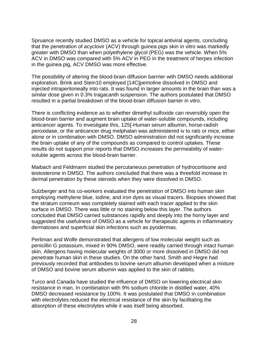Spruance recently studied DMSO as a vehicle for topical antiviral agents, concluding that the penetration of acyclovir (ACV) through guinea pigs skin in vitro was markedly greater with DMSO than when polyethylene glycol (PEG) was the vehicle. When 5% ACV in DMSO was compared with 5% ACV in PEG in the treatment of herpes infection in the guinea pig, ACV DMSO was more effective.

The possibility of altering the blood-brain diffusion barrrier with DMSO needs additional exploration. Brink and Stein10 employed [14C]pemoline dissolved in DMSO and injected intraperitoneally into rats. It was found in larger amounts in the brain than was a similar dose given in 0.3% tragacanth suspension. The authors postulated that DMSO resulted in a partial breakdown of the blood-brain diffusion barrier in vitro.

There is conflicting evidence as to whether dimethyl sulfoxide can reversibly open the blood-brain barrier and augment brain uptake of water-soluble compounds, including anticancer agents. To investigate this, 125[-Human serum albumin, horse-radish peroxidase, or the anticancer drug melphalan was administered iv to rats or mice, either alone or in combination with DMSO. DMSO administration did not significantly increase the brain uptake of any of the compounds as compared to control uptakes. These results do not support prior reports that DMSO increases the permeability of watersoluble agents across the blood-brain barrier.

Maibach and Feldmann studied the percutaneous penetration of hydrocortisone and testosterone in DMSO. The authors concluded that there was a threefold increase in dermal penetration by these steroids when they were dissolved in DMSO.

Sulzberger and his co-workers evaluated the penetration of DMSO into human skin employing methylene blue, iodine, and iron dyes as visual tracers. Biopsies showed that the stratum corneum was completely stained with each tracer applied to the skin surface in DMSO. There was little or no staining below this layer. The authors concluded that DMSO carried substances rapidly and deeply into the horny layer and suggested the usefulness of DMSO as a vehicle for therapeutic agents in inflammatory dermatoses and superficial skin infections such as pyodermas.

Perliman and Wolfe demonstrated that allergens of low molecular weight such as penicillin G potassium, mixed in 90% DMSO, were readily carried through intact human skin. Allergens having molecular weights of 3000 or more dissolved in DMSO did not penetrate human skin in these studies. On the other hand, Smith and Hegre had previously recorded that antibodies to bovine serum albumin developed when a mixture of DMSO and bovine serum albumin was applied to the skin of rabbits.

Turco and Canada have studied the influence of DMSO on lowering electrical skin resistance in man, In combination with 9% sodium chloride in distilled water, 40% DMSO decreased resistance by 100%. It was postulated that DMSO in combination with electrolytes reduced the electrical resistance of the skin by facilitating the absorption of these electrolytes while it was itself being absorbed.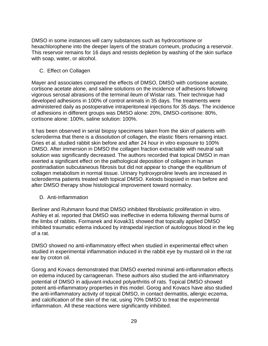DMSO in some instances will carry substances such as hydrocortisone or hexachlorophene into the deeper layers of the stratum corneum, producing a reservoir. This reservoir remains for 16 days and resists depletion by washing of the skin surface with soap, water, or alcohol.

#### C. Effect on Collagen

Mayer and associates compared the effects of DMSO, DMSO with cortisone acetate, cortisone acetate alone, and saline solutions on the incidence of adhesions following vigorous serosal abrasions of the terminal ileum of Wistar rats. Their technique had developed adhesions in 100% of control animals in 35 days. The treatments were administered daily as postoperative intraperitoneal injections for 35 days. The incidence of adhesions in different groups was DMSO alone: 20%, DMSO-cortisone: 80%, cortisone alone: 100%, saline solution: 100%.

It has been observed in serial biopsy specimens taken from the skin of patients with scleroderma that there is a dissolution of collagen, the elastic fibers remaining intact. Gries et al. studied rabbit skin before and after 24 hour in vitro exposure to 100% DMSO. After immersion in DMSO the collagen fraction extractable with neutral salt solution was significantly decreased. The authors recorded that topical DMSO in man exerted a significant effect on the pathological deposition of collagen in human postirradiation subcutaneous fibrosis but did not appear to change the equilibrium of collagen metabolism in normal tissue. Urinary hydroxyproline levels are increased in scleroderma patients treated with topical DMSO. Keloids biopsied in man before and after DMSO therapy show histological improvement toward normalcy.

#### D. Anti-Inflammation

Berliner and Ruhmann found that DMSO inhibited fibroblastic proliferation in vitro. Ashley et al. reported that DMSO was ineffective in edema following thermal burns of the limbs of rabbits. Formanek and Kovak31 showed that topically applied DMSO inhibited traumatic edema induced by intrapedal injection of autologous blood in the leg of a rat.

DMSO showed no anti-inflammatory effect when studied in experimental effect when studied in experimental inflammation induced in the rabbit eye by mustard oil in the rat ear by croton oil.

Gorog and Kovacs demonstrated that DMSO exerted minimal anti-inflammation effects on edema induced by carrageenan. These authors also studied the anti-inflammatory potential of DMSO in adjuvant-induced polyarthritis of rats. Topical DMSO showed potent anti-inflammatory properties in this model. Gorog and Kovacs have also studied the anti-inflammatory activity of topical DMSO, in contact dermatitis, allergic eczema, and calcification of the skin of the rat, using 70% DMSO to treat the experimental inflammation. All these reactions were significantly inhibited.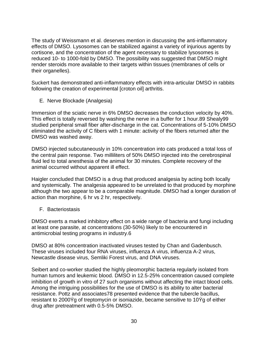The study of Weissmann et al. deserves mention in discussing the anti-inflammatory effects of DMSO. Lysosomes can be stabilized against a variety of injurious agents by cortisone, and the concentration of the agent necessary to stabilize lysosomes is reduced 10- to 1000-fold by DMSO. The possibility was suggested that DMSO might render steroids more available to their targets within tissues (membranes of cells or their organelles).

Suckert has demonstrated anti-inflammatory effects with intra-articular DMSO in rabbits following the creation of experimental [croton oil] arthritis.

E. Nerve Blockade (Analgesia)

Immersion of the sciatic nerve in 6% DMSO decreases the conduction velocity by 40%. This effect is totally reversed by washing the nerve in a buffer for 1 hour.89 Shealy99 studied peripheral small fiber after-discharge in the cat. Concentrations of 5-10% DMSO eliminated the activity of C fibers with 1 minute: activity of the fibers returned after the DMSO was washed away.

DMSO injected subcutaneously in 10% concentration into cats produced a total loss of the central pain response. Two milliliters of 50% DMSO injected into the cerebrospinal fluid led to total anesthesia of the animal for 30 minutes. Complete recovery of the animal occurred without apparent ill effect.

Haigler concluded that DMSO is a drug that produced analgesia by acting both locally and systemically. The analgesia appeared to be unrelated to that produced by morphine although the two appear to be a comparable magnitude. DMSO had a longer duration of action than morphine, 6 hr vs 2 hr, respectively.

F. Bacteriostasis

DMSO exerts a marked inhibitory effect on a wide range of bacteria and fungi including at least one parasite, at concentrations (30-50%) likely to be encountered in antimicrobial testing programs in industry.6

DMSO at 80% concentration inactivated viruses tested by Chan and Gadenbusch. These viruses included four RNA viruses, influenza A virus, influenza A-2 virus, Newcastle disease virus, Semliki Forest virus, and DNA viruses.

Seibert and co-worker studied the highly pleomorphic bacteria regularly isolated from human tumors and leukemic blood. DMSO in 12.5-25% concentration caused complete inhibition of growth in vitro of 27 such organisms without affecting the intact blood cells. Among the intriguing possibilities for the use of DMSO is its ability to alter bacterial resistance. Pottz and associates78 presented evidence that the tubercle bacillus, resistant to 2000Ýg of treptomycin or isoniazide, became sensitive to 10Ýg of either drug after pretreatment with 0.5-5% DMSO.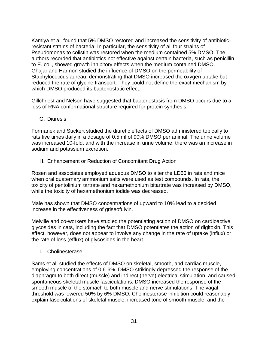Kamiya et al. found that 5% DMSO restored and increased the sensitivity of antibioticresistant strains of bacteria. In particular, the sensitivity of all four strains of Pseudomonas to colistin was restored when the medium contained 5% DMSO. The authors recorded that antibiotics not effective against certain bacteria, such as penicillin to E. coli, showed growth inhibitory effects when the medium contained DMSO. Ghajar and Harmon studied the influence of DMSO on the permeability of Staphylococcus aureau, demonstrating that DMSO increased the oxygen uptake but reduced the rate of glycine transport. They could not define the exact mechanism by which DMSO produced its bacteriostatic effect.

Gillchriest and Nelson have suggested that bacteriostasis from DMSO occurs due to a loss of RNA conformational structure required for protein synthesis.

G. Diuresis

Formanek and Suckert studied the diuretic effects of DMSO administered topically to rats five times daily in a dosage of 0.5 ml of 90% DMSO per animal. The urine volume was increased 10-fold, and with the increase in urine volume, there was an increase in sodium and potassium excretion.

H. Enhancement or Reduction of Concomitant Drug Action

Rosen and associates employed aqueous DMSO to alter the LD50 in rats and mice when oral quaternary ammonium salts were used as test compounds. In rats, the toxicity of pentolinium tartrate and hexamethonium bitartrate was increased by DMSO, while the toxicity of hexamethonium iodide was decreased.

Male has shown that DMSO concentrations of upward to 10% lead to a decided increase in the effectiveness of griseofulvin.

Melville and co-workers have studied the potentiating action of DMSO on cardioactive glycosides in cats, including the fact that DMSO potentiates the action of digitoxin. This effect, however, does not appear to involve any change in the rate of uptake (influx) or the rate of loss (efflux) of glycosides in the heart.

I. Cholinesterase

Sams et al. studied the effects of DMSO on skeletal, smooth, and cardiac muscle, employing concentrations of 0.6-6%. DMSO strikingly depressed the response of the diaphragm to both direct (muscle) and indirect (nerve) electrical stimulation, and caused spontaneous skeletal muscle fasciculations. DMSO increased the response of the smooth muscle of the stomach to both muscle and nerve stimulations. The vagal threshold was lowered 50% by 6% DMSO. Cholinesterase inhibition could reasonably explain fasciculations of skeletal muscle, increased tone of smooth muscle, and the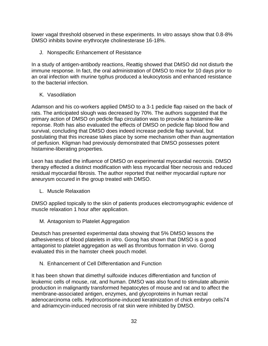lower vagal threshold observed in these experiments. In vitro assays show that 0.8-8% DMSO inhibits bovine erythrocyte cholinesterase 16-18%.

J. Nonspecific Enhancement of Resistance

In a study of antigen-antibody reactions, Reattig showed that DMSO did not disturb the immune response. In fact, the oral administration of DMSO to mice for 10 days prior to an oral infection with murine typhus produced a leukocytosis and enhanced resistance to the bacterial infection.

K. Vasodilation

Adamson and his co-workers applied DMSO to a 3-1 pedicle flap raised on the back of rats. The anticipated slough was decreased by 70%. The authors suggested that the primary action of DMSO on pedicle flap circulation was to provoke a histamine-like reponse. Roth has also evaluated the effects of DMSO on pedicle flap blood flow and survival, concluding that DMSO does indeed increase pedicle flap survival, but postulating that this increase takes place by some mechanism other than augmentation of perfusion. Kligman had previously demonstrated that DMSO possesses potent histamine-liberating properties.

Leon has studied the influence of DMSO on experimental myocardial necrosis. DMSO therapy effected a distinct modification with less myocardial fiber necrosis and reduced residual myocardial fibrosis. The author reported that neither myocardial rupture nor aneurysm occured in the group treated with DMSO.

L. Muscle Relaxation

DMSO applied topically to the skin of patients produces electromyographic evidence of muscle relaxation 1 hour after application.

M. Antagonism to Platelet Aggregation

Deutsch has presented experimental data showing that 5% DMSO lessons the adhesiveness of blood platelets in vitro. Gorog has shown that DMSO is a good antagonist to platelet aggregation as well as thrombus formation in vivo. Gorog evaluated this in the hamster cheek pouch model.

N. Enhancement of Cell Differentiation and Function

It has been shown that dimethyl sulfoxide induces differentiation and function of leukemic cells of mouse, rat, and human. DMSO was also found to stimulate albumin production in malignantly transformed hepatocytes of mouse and rat and to affect the membrane-associated antigen, enzymes, and glycoproteins in human rectal adenocarcinoma cells. Hydrocortisone-induced keratinization of chick embryo cells74 and adriamcycin-induced necrosis of rat skin were inhibited by DMSO.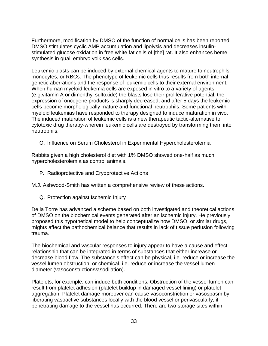Furthermore, modification by DMSO of the function of normal cells has been reported. DMSO stimulates cyclic AMP accumulation and lipolysis and decreases insulinstimulated glucose oxidation in free white fat cells of [the] rat. It also enhances heme synthesis in quail embryo yolk sac cells.

Leukemic blasts can be induced by external chemical agents to mature to neutrophils, monocytes, or RBCs. The phenotype of leukemic cells thus results from both internal genetic aberrations and the response of leukemic cells to their external environment. When human myeloid leukemia cells are exposed in vitro to a variety of agents (e.g.vitamin A or dimenthyl sulfoxide) the blasts lose their proliferative potential, the expression of oncogene products is sharply decreased, and after 5 days the leukemic cells become morphologically mature and functional neutrophils. Some patients with myeloid leukemias have responded to therapy designed to induce maturation in vivo. The induced maturation of leukemic cells is a new therapeutic tactic-alternative to cytotoxic drug therapy-wherein leukemic cells are destroyed by transforming them into neutrophils.

O. Influence on Serum Cholesterol in Experimental Hypercholesterolemia

Rabbits given a high cholesterol diet with 1% DMSO showed one-half as much hypercholesterolemia as control animals.

P. Radioprotective and Cryoprotective Actions

M.J. Ashwood-Smith has written a comprehensive review of these actions.

Q. Protection against Ischemic Injury

De la Torre has advanced a scheme based on both investigated and theoretical actions of DMSO on the biochemical events generated after an ischemic injury. He previously proposed this hypothetical model to help conceptualize how DMSO, or similar drugs, mights affect the pathochemical balance that results in lack of tissue perfusion following trauma.

The biochemical and vascular responses to injury appear to have a cause and effect relationship that can be integrated in terms of substances that either increase or decrease blood flow. The substance's effect can be physical, i.e. reduce or increase the vessel lumen obstruction, or chemical, i.e. reduce or increase the vessel lumen diameter (vasoconstriction/vasodilation).

Platelets, for example, can induce both conditions. Obstruction of the vessel lumen can result from platelet adhesion (platelet buildup in damaged vessel lining) or platelet aggregation. Platelet damage moreover can cause vasoconstriction or vasospasm by liberating vasoactive substances locally with the blood vessel or perivascularly, if penetrating damage to the vessel has occurred. There are two storage sites within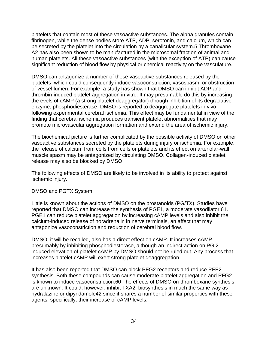platelets that contain most of these vasoactive substances. The alpha granules contain fibrinogen, while the dense bodies store ATP, ADP, serotonin, and calcium, which can be secreted by the platelet into the circulation by a canalicular system.5 Thromboxane A2 has also been shown to be manufactured in the microsomal fraction of animal and human platelets. All these vasoactive substances (with the exception of ATP) can cause significant reduction of blood flow by physical or chemical reactivity on the vasculature.

DMSO can antagonize a number of these vasoactive substances released by the platelets, which could consequently induce vasoconstriction, vasospasm, or obstruction of vessel lumen. For example, a study has shown that DMSO can inhibit ADP and thrombin-induced platelet aggregation in vitro. It may presumable do this by increasing the evels of cAMP (a strong platelet deaggregator) through inhibition of its degradative enzyme, phosphodiesterase. DMSO is reported to deaggregate platelets in vivo following experimental cerebral ischemia. This effect may be fundamental in view of the finding that cerebral ischemia produces transient platelet abnormalities that may promote microvascular aggregation formation and extend the area of ischemic injury.

The biochemical picture is further complicated by the possible activity of DMSO on other vasoactive substances secreted by the platelets during injury or ischemia. For example, the release of calcium from cells from cells or platelets and its effect on arteriolar-wall muscle spasm may be antagonized by circulating DMSO. Collagen-induced platelet release may also be blocked by DMSO.

The following effects of DMSO are likely to be involved in its ability to protect against ischemic injury.

#### DMSO and PGTX System

Little is known about the actions of DMSO on the prostanoids (PG/TX). Studies have reported that DMSO can increase the synthesis of PGE1, a moderate vasodilator.61. PGE1 can reduce platelet aggregation by increasing cAMP levels and also inhibit the calcium-induced release of noradrenalin in nerve terminals, an affect that may antagonize vasoconstriction and reduction of cerebral blood flow.

DMSO, it will be recalled, also has a direct effect on cAMP. It increases cAMP presumably by inhibiting phosphodiesterase, although an indirect action on PGI2 induced elevation of platelet cAMP by DMSO should not be ruled out. Any process that increases platelet cAMP will exert strong platelet deaggregation.

It has also been reported that DMSO can block PFG2 receptors and reduce PFE2 synthesis. Both these compounds can cause moderate platelet aggregation and PFG2 is known to induce vasoconstriction.60 The effects of DMSO on thromboxane synthesis are unknown. It could, however, inhibit TXA2, biosynthesis in much the same way as hydralazine or dipyridamole42 since it shares a number of similar properties with these agents: specifically, their increase of cAMP levels.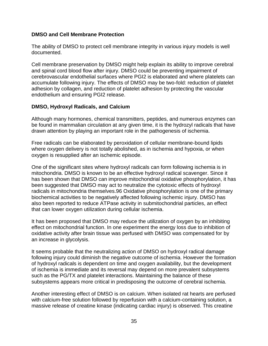#### **DMSO and Cell Membrane Protection**

The ability of DMSO to protect cell membrane integrity in various injury models is well documented.

Cell membrane preservation by DMSO might help explain its ability to improve cerebral and spinal cord blood flow after injury. DMSO could be preventing impairment of cerebrovascular endothelial surfaces where PGI2 is elaborated and where platelets can accumulate following injury. The effects of DMSO may be two-fold: reduction of platelet adhesion by collagen, and reduction of platelet adhesion by protecting the vascular endothelium and ensuring PGI2 release.

#### **DMSO, Hydroxyl Radicals, and Calcium**

Although many hormones, chemical transmitters, peptides, and numerous enzymes can be found in mammalian circulation at any given time, it is the hydrozyl radicals that have drawn attention by playing an important role in the pathogenesis of ischemia.

Free radicals can be elaborated by peroxidation of cellular membrane-bound lipids where oxygen delivery is not totally abolished, as in ischemia and hypoxia, or when oxygen is resupplied after an ischemic episode.

One of the significant sites where hydroxyl radicals can form following ischemia is in mitochondria. DMSO is known to be an effective hydroxyl radical scavenger. Since it has been shown that DMSO can improve mitochondrial oxidative phosphorylation, it has been suggested that DMSO may act to neutralize the cytotoxic effects of hydroxyl radicals in mitochondria themselves.96 Oxidative phosphorylation is one of the primary biochemical activities to be negatively affected following ischemic injury. DMSO has also been reported to reduce ATPase activity in submitochondrial particles, an effect that can lower oxygen utilization during cellular ischemia.

It has been proposed that DMSO may reduce the utilization of oxygen by an inhibiting effect on mitochondrial function. In one experiment the energy loss due to inhibition of oxidative activity after brain tissue was perfused with DMSO was compensated for by an increase in glycolysis.

It seems probable that the neutralizing action of DMSO on hydroxyl radical damage following injury could diminish the negative outcome of ischemia. However the formation of hydroxyl radicals is dependent on time and oxygen availability, but the development of ischemia is immediate and its reversal may depend on more prevalent subsystems such as the PG/TX and platelet interactions. Maintaining the balance of these subsystems appears more critical in predisposing the outcome of cerebral ischemia.

Another interesting effect of DMSO is on calcium. When isolated rat hearts are perfused with calcium-free solution followed by reperfusion with a calcium-containing solution, a massive release of creatine kinase (indicating cardiac injury) is observed. This creatine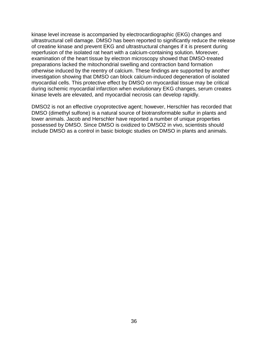kinase level increase is accompanied by electrocardiographic (EKG) changes and ultrastructural cell damage. DMSO has been reported to significantly reduce the release of creatine kinase and prevent EKG and ultrastructural changes if it is present during reperfusion of the isolated rat heart with a calcium-containing solution. Moreover, examination of the heart tissue by electron microscopy showed that DMSO-treated preparations lacked the mitochondrial swelling and contraction band formation otherwise induced by the reentry of calcium. These findings are supported by another investigation showing that DMSO can block calcium-induced degeneration of isolated myocardial cells. This protective effect by DMSO on myocardial tissue may be critical during ischemic myocardial infarction when evolutionary EKG changes, serum creates kinase levels are elevated, and myocardial necrosis can develop rapidly.

DMSO2 is not an effective cryoprotective agent; however, Herschler has recorded that DMSO (dimethyl sulfone) is a natural source of biotransformable sulfur in plants and lower animals. Jacob and Herschler have reported a number of unique properties possessed by DMSO. Since DMSO is oxidized to DMSO2 in vivo, scientists should include DMSO as a control in basic biologic studies on DMSO in plants and animals.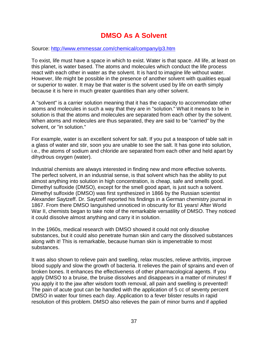## **DMSO As A Solvent**

#### Source:<http://www.emmessar.com/chemical/company/p3.htm>

To exist, life must have a space in which to exist. Water is that space. All life, at least on this planet, is water based. The atoms and molecules which conduct the life process react with each other in water as the solvent. It is hard to imagine life without water. However, life might be possible in the presence of another solvent with qualities equal or superior to water. It may be that water is the solvent used by life on earth simply because it is here in much greater quantities than any other solvent.

A "solvent" is a carrier solution meaning that it has the capacity to accommodate other atoms and molecules in such a way that they are in "solution." What it means to be in solution is that the atoms and molecules are separated from each other by the solvent. When atoms and molecules are thus separated, they are said to be "carried" by the solvent, or "in solution."

For example, water is an excellent solvent for salt. If you put a teaspoon of table salt in a glass of water and stir, soon you are unable to see the salt. It has gone into solution, i.e., the atoms of sodium and chloride are separated from each other and held apart by dihydrous oxygen (water).

Industrial chemists are always interested in finding new and more effective solvents. The perfect solvent, in an industrial sense, is that solvent which has the ability to put almost anything into solution in high concentration, is cheap, safe and smells good. Dimethyl sulfoxide (DMSO), except for the smell good apart, is just such a solvent. Dimethyl sulfoxide (DMSO) was first synthesized in 1866 by the Russian scientist Alexander Saytzeff. Dr. Saytzeff reported his findings in a German chemistry journal in 1867. From there DMSO languished unnoticed in obscurity for 81 years! After World War II, chemists began to take note of the remarkable versatility of DMSO. They noticed it could dissolve almost anything and carry it in solution.

In the 1960s, medical research with DMSO showed it could not only dissolve substances, but it could also penetrate human skin and carry the dissolved substances along with it! This is remarkable, because human skin is impenetrable to most substances.

It was also shown to relieve pain and swelling, relax muscles, relieve arthritis, improve blood supply and slow the growth of bacteria. It relieves the pain of sprains and even of broken bones. It enhances the effectiveness of other pharmacological agents. If you apply DMSO to a bruise, the bruise dissolves and disappears in a matter of minutes! If you apply it to the jaw after wisdom tooth removal, all pain and swelling is prevented! The pain of acute gout can be handled with the application of 5 cc of seventy percent DMSO in water four times each day. Application to a fever blister results in rapid resolution of this problem. DMSO also relieves the pain of minor burns and if applied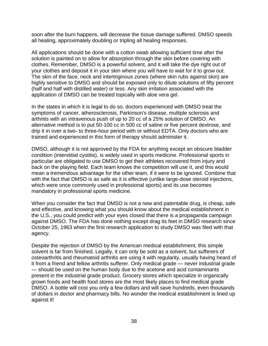soon after the burn happens, will decrease the tissue damage suffered. DMSO speeds all healing, approximately doubling or tripling all healing responses.

All applications should be done with a cotton swab allowing sufficient time after the solution is painted on to allow for absorption through the skin before covering with clothes. Remember, DMSO is a powerful solvent, and it will take the dye right out of your clothes and deposit it in your skin where you will have to wait for it to grow out. The skin of the face, neck and intertriginous zones (where skin rubs against skin) are highly sensitive to DMSO and should be exposed only to dilute solutions of fifty percent (half and half with distilled water) or less. Any skin irritation associated with the application of DMSO can be treated topically with aloe vera gel.

In the states in which it is legal to do so, doctors experienced with DMSO treat the symptoms of cancer, atherosclerosis, Parkinson's disease, multiple sclerosis and arthritis with an intravenous push of up to 20 cc of a 25% solution of DMSO. An alternative method is to put 50-100 cc in 500 cc of saline or five percent dextrose, and drip it in over a two- to three-hour period with or without EDTA. Only doctors who are trained and experienced in this form of therapy should administer it.

DMSO, although it is not approved by the FDA for anything except an obscure bladder condition (interstitial cystitis), is widely used in sports medicine. Professional sports in particular are obligated to use DMSO to get their athletes recovered from injury and back on the playing field. Each team knows the competition will use it, and this would mean a tremendous advantage for the other team, if it were to be ignored. Combine that with the fact that DMSO is as safe as it is effective (unlike large-dose steroid injections, which were once commonly used in professional sports) and its use becomes mandatory in professional sports medicine.

When you consider the fact that DMSO is not a new and patentable drug, is cheap, safe and effective, and knowing what you should know about the medical establishment in the U.S., you could predict with your eyes closed that there is a propaganda campaign against DMSO. The FDA has done nothing except drag its feet in DMSO research since October 25, 1963 when the first research application to study DMSO was filed with that agency.

Despite the rejection of DMSO by the American medical establishment, this simple solvent is far from finished. Legally, it can only be sold as a solvent, but sufferers of osteoarthritis and rheumatoid arthritis are using it with regularity, usually having heard of it from a friend and fellow arthritis sufferer. Only medical grade — never industrial grade — should be used on the human body due to the acetone and acid contaminants present in the industrial grade product. Grocery stores which specialize in organically grown foods and health food stores are the most likely places to find medical grade DMSO. A bottle will cost you only a few dollars and will save hundreds, even thousands of dollars in doctor and pharmacy bills. No wonder the medical establishment is lined up against it!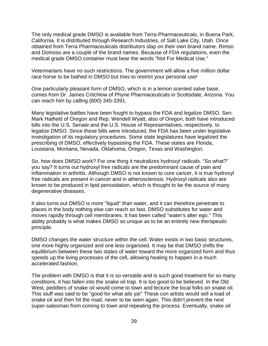The only medical grade DMSO is available from Terra Pharmaceuticals, in Buena Park, California. It is distributed through Research Industries, of Salt Lake City, Utah. Once obtained from Terra Pharmaceuticals distributors slap on their own brand name. Rimso and Domoso are a couple of the brand names. Because of FDA regulations, even the medical grade DMSO container must bear the words "Not For Medical Use."

Veterinarians have no such restrictions. The government will allow a five million dollar race horse to be bathed in DMSO but tries to restrict your personal use!

One particularly pleasant form of DMSO, which is in a lemon scented salve base, comes from Dr. James Critchlow of Phyne Pharmaceuticals in Scottsdale, Arizona. You can reach him by calling (800) 345-3391.

Many legislative battles have been fought to bypass the FDA and legalize DMSO. Sen. Mark Hatfield of Oregon and Rep. Wendell Wyatt, also of Oregon, both have introduced bills into the U.S. Senate and the U.S. House of Representatives, respectively, to legalize DMSO. Since these bills were introduced, the FDA has been under legislative investigation of its regulatory procedures. Some state legislatures have legalized the prescribing of DMSO, effectively bypassing the FDA. These states are Florida, Louisiana, Montana, Nevada, Oklahoma, Oregon, Texas and Washington.

So, how does DMSO work? For one thing it neutralizes hydroxyl radicals. "So what?" you say? It turns out hydroxyl free radicals are the predominant cause of pain and inflammation in arthritis. Although DMSO is not known to cure cancer, it is true hydroxyl free radicals are present in cancer and in atherosclerosis. Hydroxyl radicals also are known to be produced in lipid peroxidation, which is thought to be the source of many degenerative diseases.

It also turns out DMSO is more "liquid" than water, and it can therefore penetrate to places in the body nothing else can reach so fast. DMSO substitutes for water and moves rapidly through cell membranes. It has been called "water's alter ego." This ability probably is what makes DMSO so unique as to be an entirely new therapeutic principle.

DMSO changes the water structure within the cell. Water exists in two basic structures, one more highly organized and one less organized. It may be that DMSO shifts the equilibrium between these two states of water toward the more organized form and thus speeds up the living processes of the cell, allowing healing to happen in a much accelerated fashion.

The problem with DMSO is that it is so versatile and is such good treatment for so many conditions, it has fallen into the snake oil trap. It is too good to be believed. In the Old West, peddlers of snake oil would come to town and lecture the local folks on snake oil. This stuff was said to be "good for what ails ya!" These con artists would sell a load of snake oil and then hit the road, never to be seen again. This didn't prevent the next super-salesman from coming to town and repeating the process. Eventually, snake oil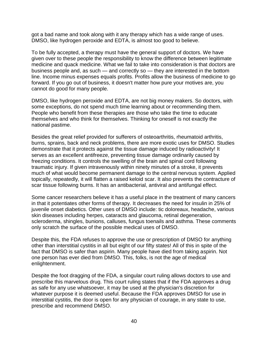got a bad name and took along with it any therapy which has a wide range of uses. DMSO, like hydrogen peroxide and EDTA, is almost too good to believe.

To be fully accepted, a therapy must have the general support of doctors. We have given over to these people the responsibility to know the difference between legitimate medicine and quack medicine. What we fail to take into consideration is that doctors are business people and, as such — and correctly so — they are interested in the bottom line. Income minus expenses equals profits. Profits allow the business of medicine to go forward. If you go out of business, it doesn't matter how pure your motives are, you cannot do good for many people.

DMSO, like hydrogen peroxide and EDTA, are not big money makers. So doctors, with some exceptions, do not spend much time learning about or recommending them. People who benefit from these therapies are those who take the time to educate themselves and who think for themselves. Thinking for oneself is not exactly the national pastime.

Besides the great relief provided for sufferers of osteoarthritis, rheumatoid arthritis, burns, sprains, back and neck problems, there are more exotic uses for DMSO. Studies demonstrate that it protects against the tissue damage induced by radioactivity! It serves as an excellent antifreeze, preventing tissue damage ordinarily caused by freezing conditions. It controls the swelling of the brain and spinal cord following traumatic injury. If given intravenously within ninety minutes of a stroke, it prevents much of what would become permanent damage to the central nervous system. Applied topically, repeatedly, it will flatten a raised keloid scar. It also prevents the contracture of scar tissue following burns. It has an antibacterial, antiviral and antifungal effect.

Some cancer researchers believe it has a useful place in the treatment of many cancers in that it potentiates other forms of therapy. It decreases the need for insulin in 25% of juvenile onset diabetics. Other uses of DMSO include: tic doloreaux, headache, various skin diseases including herpes, cataracts and glaucoma, retinal degeneration, scleroderma, shingles, bunions, calluses, fungus toenails and asthma. These comments only scratch the surface of the possible medical uses of DMSO.

Despite this, the FDA refuses to approve the use or prescription of DMSO for anything other than interstitial cystitis in all but eight of our fifty states! All of this in spite of the fact that DMSO is safer than aspirin. Many people have died from taking aspirin. Not one person has ever died from DMSO. This, folks, is not the age of medical enlightenment.

Despite the foot dragging of the FDA, a singular court ruling allows doctors to use and prescribe this marvelous drug. This court ruling states that if the FDA approves a drug as safe for any use whatsoever, it may be used at the physician's discretion for whatever purpose it is deemed useful. Because the FDA approves DMSO for use in interstitial cystitis, the door is open for any physician of courage, in any state to use, prescribe and recommend DMSO.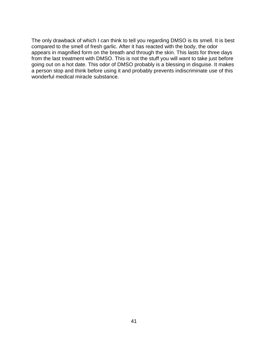The only drawback of which I can think to tell you regarding DMSO is its smell. It is best compared to the smell of fresh garlic. After it has reacted with the body, the odor appears in magnified form on the breath and through the skin. This lasts for three days from the last treatment with DMSO. This is not the stuff you will want to take just before going out on a hot date. This odor of DMSO probably is a blessing in disguise. It makes a person stop and think before using it and probably prevents indiscriminate use of this wonderful medical miracle substance.